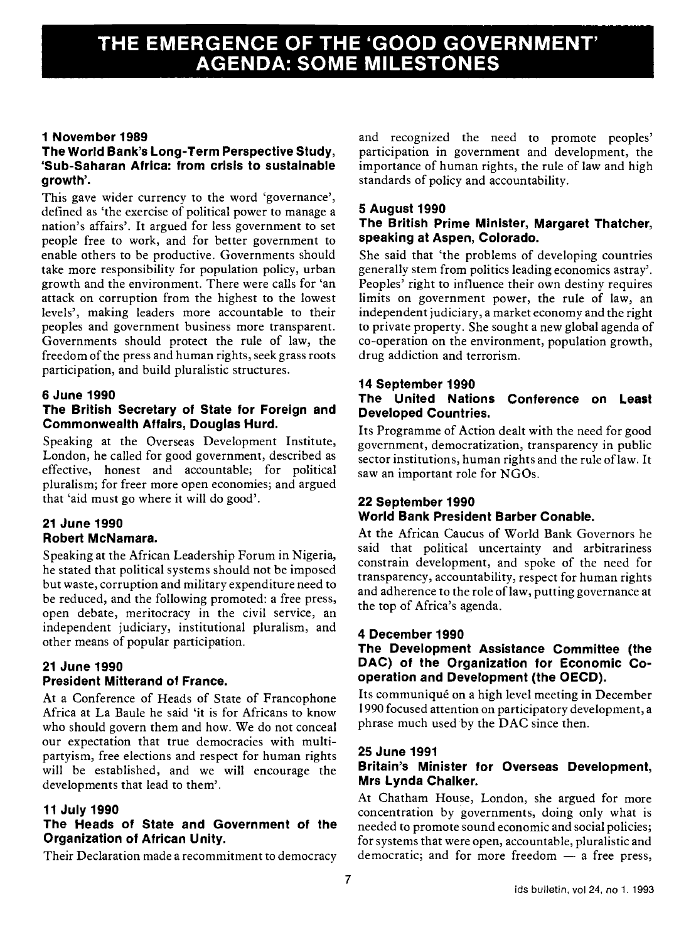# THE EMERGENCE OF THE 'GOOD GOVERNMENT'<br>AGENDA: SOME MILESTONES

# 1 November 1989

# The World Bank's Long-Term Perspective Study, 'Sub-Saharan Africa: from crisis to sustainable growth'.

This gave wider currency to the word 'governance', defined as 'the exercise of political power to manage a nation's affairs'. It argued for less government to set people free to work, and for better government to enable others to be productive. Governments should take more responsibility for population policy, urban growth and the environment. There were calls for 'an attack on corruption from the highest to the lowest levels', making leaders more accountable to their peoples and government business more transparent. Governments should protect the rule of law, the freedom of the press and human rights, seek grass roots participation, and build pluralistic structures.

# 6 June 1990

# The British Secretary of State for Foreign and Commonwealth Affairs, Douglas Hurd.

Speaking at the Overseas Development Institute, London, he called for good government, described as effective, honest and accountable; for political pluralism; for freer more open economies; and argued that 'aid must go where it will do good'.

# 21 June 1990 Robert McNamara.

Speaking at the African Leadership Forum in Nigeria, he stated that political systems should not be imposed but waste, corruption and military expenditure need to be reduced, and the following promoted: a free press, open debate, meritocracy in the civil service, an independent judiciary, institutional pluralism, and other means of popular participation.

# 21 June 1990 President Mitterand of France.

At a Conference of Heads of State of Francophone Africa at La Baule he said 'it is for Africans to know who should govern them and how. We do not conceal our expectation that true democracies with multipartyism, free elections and respect for human rights will be established, and we will encourage the developments that lead to them'.

#### 11 July 1990

#### The Heads of State and Government of the Organization of African Unity.

Their Declaration made a recommitment to democracy

and recognized the need to promote peoples' participation in government and development, the importance of human rights, the rule of law and high standards of policy and accountability.

#### 5 August 1990

#### The British Prime Minister, Margaret Thatcher, speaking at Aspen, Colorado.

She said that 'the problems of developing countries generally stem from politics leading economics astray'. Peoples' right to influence their own destiny requires limits on government power, the rule of law, an independent judiciary, a market economy and the right to private property. She sought a new global agenda of co-operation on the environment, population growth, drug addiction and terrorism.

# 14 September 1990

#### The United Nations Conference on Least Developed Countries.

Its Programme of Action dealt with the need for good government, democratization, transparency in public sector institutions, human rights and the rule of law. It saw an important role for NGOs.

# 22 September 1990 World Bank President Barber Conable.

At the African Caucus of World Bank Governors he said that political uncertainty and arbitrariness constrain development, and spoke of the need for transparency, accountability, respect for human rights and adherence to the role of law, putting governance at the top of Africa's agenda.

#### 4 December 1990

# The Development Assistance Committee (the DAC) of the Organization for Economic Cooperation and Development (the OECD).

Its communiqué on a high level meeting in December 1990 focused attention on participatory development, a phrase much used by the DAC since then.

#### 25 June 1991

#### Britain's Minister for Overseas Development, Mrs Lynda Chalker.

At Chatham House, London, she argued for more concentration by governments, doing only what is needed to promote sound economic and social policies; for systems that were open, accountable, pluralistic and democratic; and for more freedom  $-$  a free press,